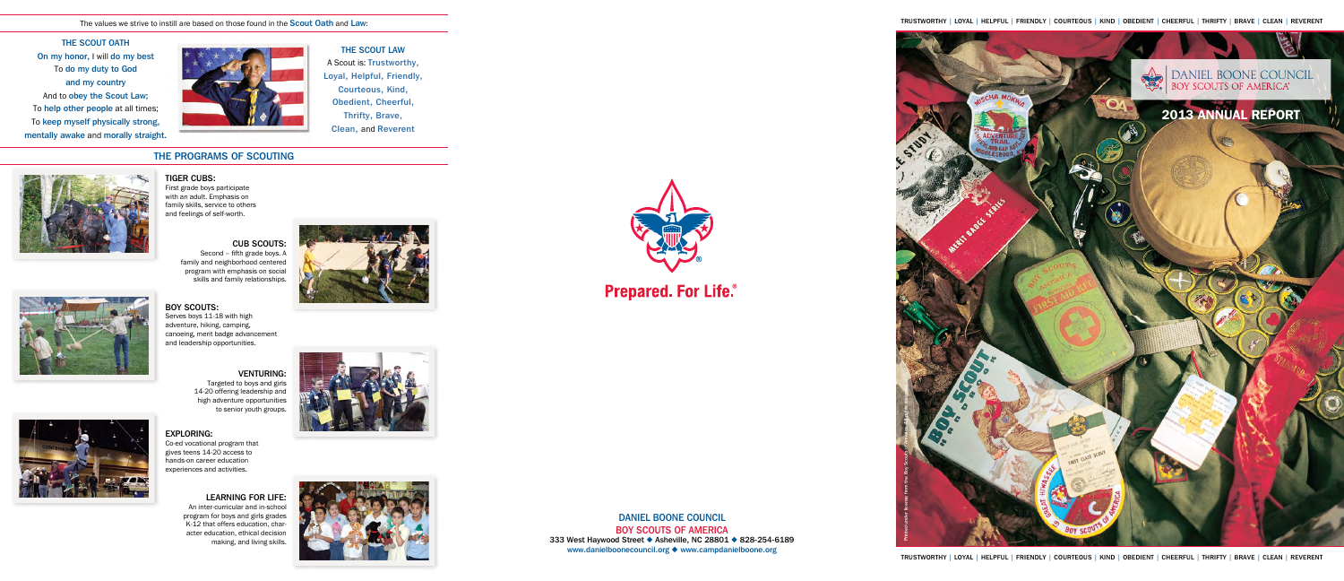Trustworthy | loyal | helpful | friendly | courteous | kind | obedient | cheerful | thrifty | brave | clean | reverent

Daniel Boone Council Boy Scouts of America 333 West Haywood Street • Asheville, NC 28801 • 828-254-6189 www.danielboonecouncil.org ♦ www.campdanielboone.org







The values we strive to instill are based on those found in the Scout Oath and Law:

THE SCOUT OATH On my honor, I will do my best To do my duty to God and my country And to obey the Scout Law; To help other people at all times; To keep myself physically strong, mentally awake and morally straight.



# The Programs of Scouting



### **TIGER CUBS:**

THE SCOUT LAW A Scout is: Trustworthy, Loyal, Helpful, Friendly, Courteous, Kind, Obedient, Cheerful, Thrifty, Brave, Clean, and Reverent

### EXPLORING:

Co-ed vocational program that gives teens 14-20 access to hands-on career education experiences and activities.

### VENTURING: Targeted to boys and girls 14-20 offering leadership and high adventure opportunities to senior youth groups.



### LEARNING FOR LIFE: An inter-curricular and in-school

program for boys and girls grades K-12 that offers education, character education, ethical decision making, and living skills.









# BOY SCOUTS:

Serves boys 11-18 with high adventure, hiking, camping, canoeing, merit badge advancement and leadership opportunities.

First grade boys participate with an adult. Emphasis on family skills, service to others and feelings of self-worth.

# CUB SCOUTS:

Second – fifth grade boys. A family and neighborhood centered program with emphasis on social skills and family relationships.